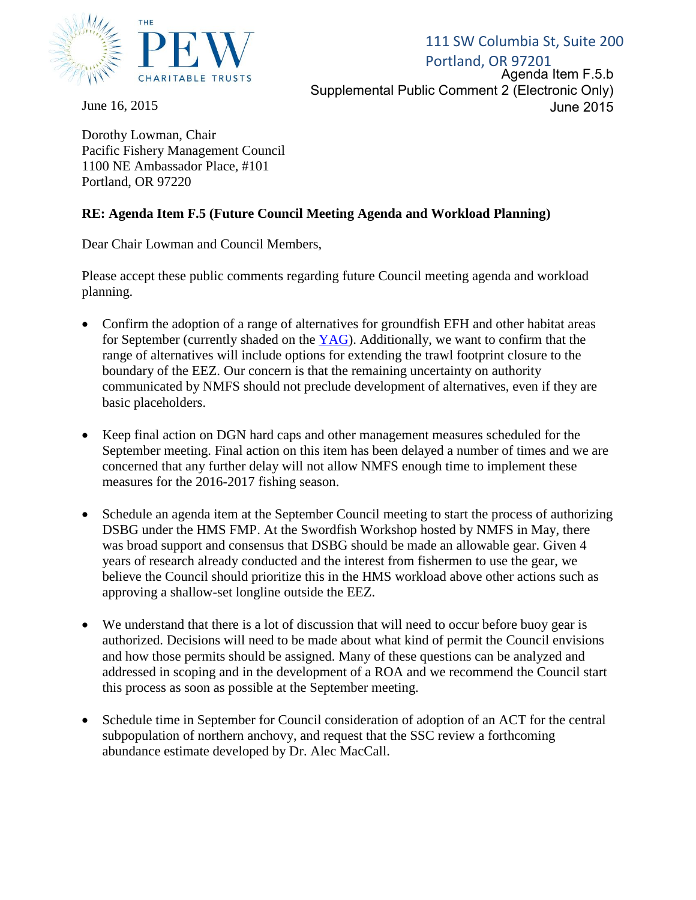

June 16, 2015

Portland, OR 97201 Agenda Item F.5.b 111 SW Columbia St, Suite 200 Supplemental Public Comment 2 (Electronic Only) June 2015

Dorothy Lowman, Chair Pacific Fishery Management Council 1100 NE Ambassador Place, #101 Portland, OR 97220

## **RE: Agenda Item F.5 (Future Council Meeting Agenda and Workload Planning)**

Dear Chair Lowman and Council Members,

Please accept these public comments regarding future Council meeting agenda and workload planning.

- Confirm the adoption of a range of alternatives for groundfish EFH and other habitat areas for September (currently shaded on the  $YAG$ ). Additionally, we want to confirm that the range of alternatives will include options for extending the trawl footprint closure to the boundary of the EEZ. Our concern is that the remaining uncertainty on authority communicated by NMFS should not preclude development of alternatives, even if they are basic placeholders.
- Keep final action on DGN hard caps and other management measures scheduled for the September meeting. Final action on this item has been delayed a number of times and we are concerned that any further delay will not allow NMFS enough time to implement these measures for the 2016-2017 fishing season.
- Schedule an agenda item at the September Council meeting to start the process of authorizing DSBG under the HMS FMP. At the Swordfish Workshop hosted by NMFS in May, there was broad support and consensus that DSBG should be made an allowable gear. Given 4 years of research already conducted and the interest from fishermen to use the gear, we believe the Council should prioritize this in the HMS workload above other actions such as approving a shallow-set longline outside the EEZ.
- We understand that there is a lot of discussion that will need to occur before buoy gear is authorized. Decisions will need to be made about what kind of permit the Council envisions and how those permits should be assigned. Many of these questions can be analyzed and addressed in scoping and in the development of a ROA and we recommend the Council start this process as soon as possible at the September meeting.
- Schedule time in September for Council consideration of adoption of an ACT for the central subpopulation of northern anchovy, and request that the SSC review a forthcoming abundance estimate developed by Dr. Alec MacCall.